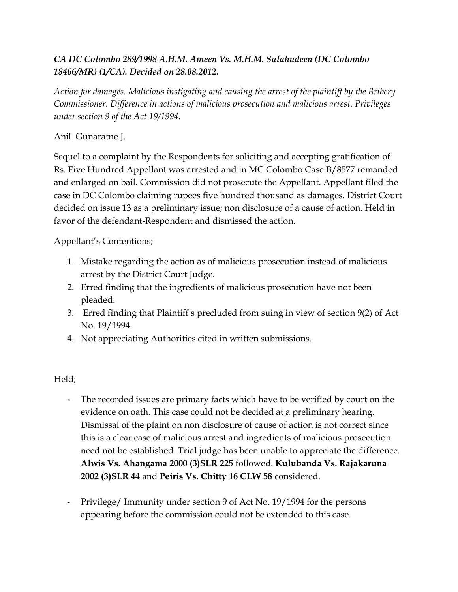## *CA DC Colombo 289/1998 A.H.M. Ameen Vs. M.H.M. Salahudeen (DC Colombo 18466/MR) (1/CA). Decided on 28.08.2012.*

*Action for damages. Malicious instigating and causing the arrest of the plaintiff by the Bribery Commissioner. Difference in actions of malicious prosecution and malicious arrest. Privileges under section 9 of the Act 19/1994.*

## Anil Gunaratne J.

Sequel to a complaint by the Respondents for soliciting and accepting gratification of Rs. Five Hundred Appellant was arrested and in MC Colombo Case B/8577 remanded and enlarged on bail. Commission did not prosecute the Appellant. Appellant filed the case in DC Colombo claiming rupees five hundred thousand as damages. District Court decided on issue 13 as a preliminary issue; non disclosure of a cause of action. Held in favor of the defendant-Respondent and dismissed the action.

Appellant's Contentions;

- 1. Mistake regarding the action as of malicious prosecution instead of malicious arrest by the District Court Judge.
- 2. Erred finding that the ingredients of malicious prosecution have not been pleaded.
- 3. Erred finding that Plaintiff s precluded from suing in view of section 9(2) of Act No. 19/1994.
- 4. Not appreciating Authorities cited in written submissions.

## Held;

- The recorded issues are primary facts which have to be verified by court on the evidence on oath. This case could not be decided at a preliminary hearing. Dismissal of the plaint on non disclosure of cause of action is not correct since this is a clear case of malicious arrest and ingredients of malicious prosecution need not be established. Trial judge has been unable to appreciate the difference. **Alwis Vs. Ahangama 2000 (3)SLR 225** followed. **Kulubanda Vs. Rajakaruna 2002 (3)SLR 44** and **Peiris Vs. Chitty 16 CLW 58** considered.
- Privilege/ Immunity under section 9 of Act No. 19/1994 for the persons appearing before the commission could not be extended to this case.